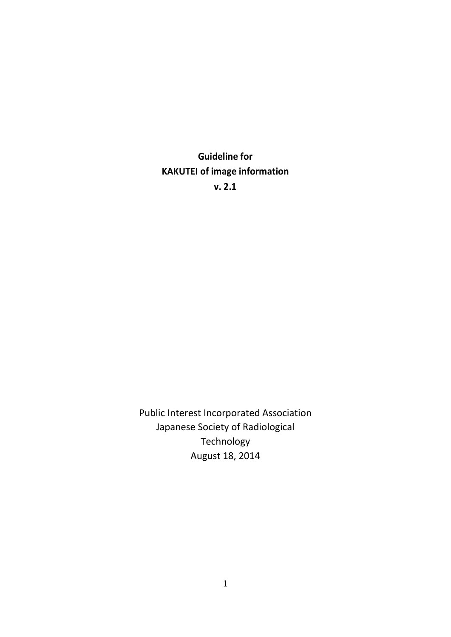Guideline for KAKUTEI of image information v. 2.1

Public Interest Incorporated Association Japanese Society of Radiological Technology August 18, 2014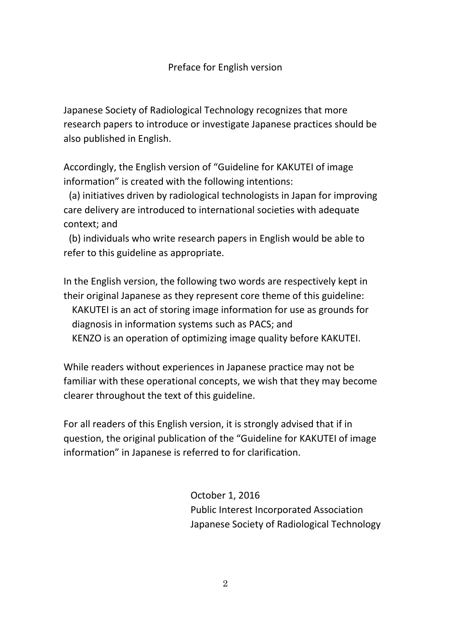Japanese Society of Radiological Technology recognizes that more research papers to introduce or investigate Japanese practices should be also published in English.

Accordingly, the English version of "Guideline for KAKUTEI of image information" is created with the following intentions:

 (a) initiatives driven by radiological technologists in Japan for improving care delivery are introduced to international societies with adequate context; and

 (b) individuals who write research papers in English would be able to refer to this guideline as appropriate.

In the English version, the following two words are respectively kept in their original Japanese as they represent core theme of this guideline: KAKUTEI is an act of storing image information for use as grounds for diagnosis in information systems such as PACS; and KENZO is an operation of optimizing image quality before KAKUTEI.

While readers without experiences in Japanese practice may not be familiar with these operational concepts, we wish that they may become clearer throughout the text of this guideline.

For all readers of this English version, it is strongly advised that if in question, the original publication of the "Guideline for KAKUTEI of image information" in Japanese is referred to for clarification.

> October 1, 2016 Public Interest Incorporated Association Japanese Society of Radiological Technology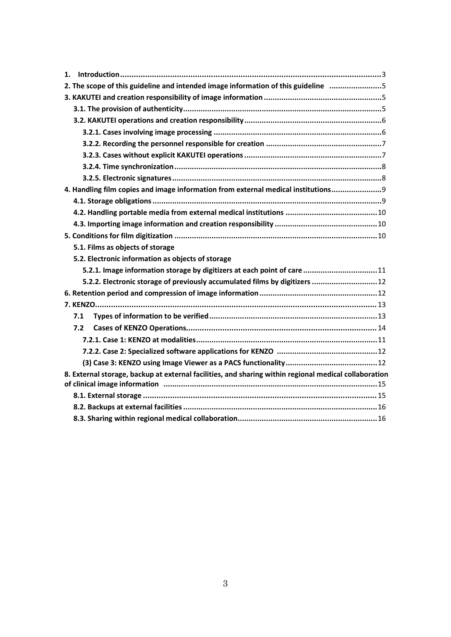| 1.                                                                                                    |
|-------------------------------------------------------------------------------------------------------|
| 2. The scope of this guideline and intended image information of this guideline 5                     |
|                                                                                                       |
|                                                                                                       |
|                                                                                                       |
|                                                                                                       |
|                                                                                                       |
|                                                                                                       |
|                                                                                                       |
|                                                                                                       |
| 4. Handling film copies and image information from external medical institutions 9                    |
|                                                                                                       |
|                                                                                                       |
|                                                                                                       |
|                                                                                                       |
| 5.1. Films as objects of storage                                                                      |
| 5.2. Electronic information as objects of storage                                                     |
| 5.2.1. Image information storage by digitizers at each point of care 11                               |
| 5.2.2. Electronic storage of previously accumulated films by digitizers  12                           |
|                                                                                                       |
|                                                                                                       |
| 7.1                                                                                                   |
| 7.2                                                                                                   |
|                                                                                                       |
|                                                                                                       |
|                                                                                                       |
| 8. External storage, backup at external facilities, and sharing within regional medical collaboration |
|                                                                                                       |
|                                                                                                       |
|                                                                                                       |
|                                                                                                       |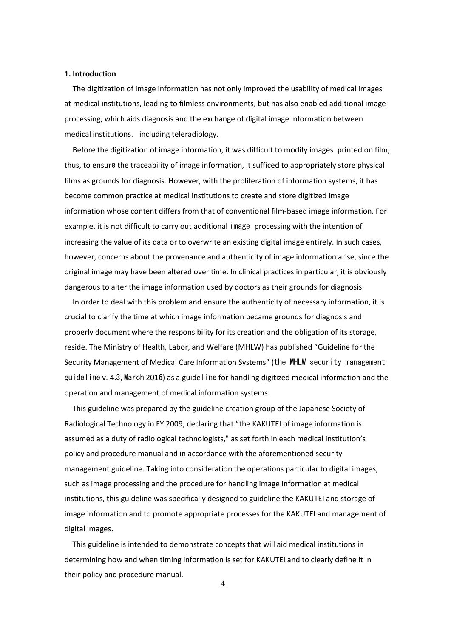#### 1. Introduction

The digitization of image information has not only improved the usability of medical images at medical institutions, leading to filmless environments, but has also enabled additional image processing, which aids diagnosis and the exchange of digital image information between medical institutions, including teleradiology.

Before the digitization of image information, it was difficult to modify images printed on film; thus, to ensure the traceability of image information, it sufficed to appropriately store physical films as grounds for diagnosis. However, with the proliferation of information systems, it has become common practice at medical institutions to create and store digitized image information whose content differs from that of conventional film-based image information. For example, it is not difficult to carry out additional image processing with the intention of increasing the value of its data or to overwrite an existing digital image entirely. In such cases, however, concerns about the provenance and authenticity of image information arise, since the original image may have been altered over time. In clinical practices in particular, it is obviously dangerous to alter the image information used by doctors as their grounds for diagnosis.

In order to deal with this problem and ensure the authenticity of necessary information, it is crucial to clarify the time at which image information became grounds for diagnosis and properly document where the responsibility for its creation and the obligation of its storage, reside. The Ministry of Health, Labor, and Welfare (MHLW) has published "Guideline for the Security Management of Medical Care Information Systems" (the MHLW security management guideline v. 4.3, March 2016) as a guideline for handling digitized medical information and the operation and management of medical information systems.

This guideline was prepared by the guideline creation group of the Japanese Society of Radiological Technology in FY 2009, declaring that "the KAKUTEI of image information is assumed as a duty of radiological technologists," as set forth in each medical institution's policy and procedure manual and in accordance with the aforementioned security management guideline. Taking into consideration the operations particular to digital images, such as image processing and the procedure for handling image information at medical institutions, this guideline was specifically designed to guideline the KAKUTEI and storage of image information and to promote appropriate processes for the KAKUTEI and management of digital images.

This guideline is intended to demonstrate concepts that will aid medical institutions in determining how and when timing information is set for KAKUTEI and to clearly define it in their policy and procedure manual.

4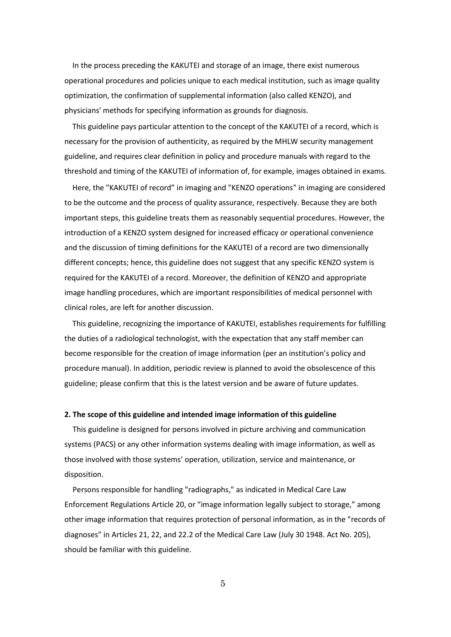In the process preceding the KAKUTEI and storage of an image, there exist numerous operational procedures and policies unique to each medical institution, such as image quality optimization, the confirmation of supplemental information (also called KENZO), and physicians' methods for specifying information as grounds for diagnosis.

This guideline pays particular attention to the concept of the KAKUTEI of a record, which is necessary for the provision of authenticity, as required by the MHLW security management guideline, and requires clear definition in policy and procedure manuals with regard to the threshold and timing of the KAKUTEI of information of, for example, images obtained in exams.

Here, the "KAKUTEI of record" in imaging and "KENZO operations" in imaging are considered to be the outcome and the process of quality assurance, respectively. Because they are both important steps, this guideline treats them as reasonably sequential procedures. However, the introduction of a KENZO system designed for increased efficacy or operational convenience and the discussion of timing definitions for the KAKUTEI of a record are two dimensionally different concepts; hence, this guideline does not suggest that any specific KENZO system is required for the KAKUTEI of a record. Moreover, the definition of KENZO and appropriate image handling procedures, which are important responsibilities of medical personnel with clinical roles, are left for another discussion.

This guideline, recognizing the importance of KAKUTEI, establishes requirements for fulfilling the duties of a radiological technologist, with the expectation that any staff member can become responsible for the creation of image information (per an institution's policy and procedure manual). In addition, periodic review is planned to avoid the obsolescence of this guideline; please confirm that this is the latest version and be aware of future updates.

# 2. The scope of this guideline and intended image information of this guideline

This guideline is designed for persons involved in picture archiving and communication systems (PACS) or any other information systems dealing with image information, as well as those involved with those systems' operation, utilization, service and maintenance, or disposition.

Persons responsible for handling "radiographs," as indicated in Medical Care Law Enforcement Regulations Article 20, or "image information legally subject to storage," among other image information that requires protection of personal information, as in the "records of diagnoses" in Articles 21, 22, and 22.2 of the Medical Care Law (July 30 1948. Act No. 205), should be familiar with this guideline.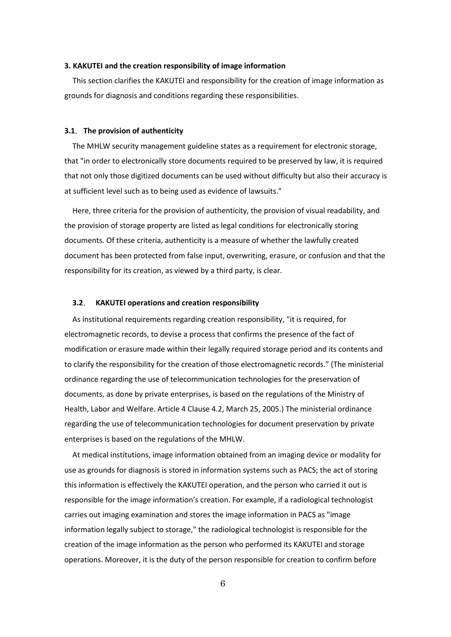# 3. KAKUTEI and the creation responsibility of image information

This section clarifies the KAKUTEI and responsibility for the creation of image information as grounds for diagnosis and conditions regarding these responsibilities.

#### 3.1. The provision of authenticity

The MHLW security management guideline states as a requirement for electronic storage, that "in order to electronically store documents required to be preserved by law, it is required that not only those digitized documents can be used without difficulty but also their accuracy is at sufficient level such as to being used as evidence of lawsuits."

Here, three criteria for the provision of authenticity, the provision of visual readability, and the provision of storage property are listed as legal conditions for electronically storing documents. Of these criteria, authenticity is a measure of whether the lawfully created document has been protected from false input, overwriting, erasure, or confusion and that the responsibility for its creation, as viewed by a third party, is clear.

### 3.2. KAKUTEI operations and creation responsibility

As institutional requirements regarding creation responsibility, "it is required, for electromagnetic records, to devise a process that confirms the presence of the fact of modification or erasure made within their legally required storage period and its contents and to clarify the responsibility for the creation of those electromagnetic records." (The ministerial ordinance regarding the use of telecommunication technologies for the preservation of documents, as done by private enterprises, is based on the regulations of the Ministry of Health, Labor and Welfare. Article 4 Clause 4.2, March 25, 2005.) The ministerial ordinance regarding the use of telecommunication technologies for document preservation by private enterprises is based on the regulations of the MHLW.

At medical institutions, image information obtained from an imaging device or modality for use as grounds for diagnosis is stored in information systems such as PACS; the act of storing this information is effectively the KAKUTEI operation, and the person who carried it out is responsible for the image information's creation. For example, if a radiological technologist carries out imaging examination and stores the image information in PACS as "image information legally subject to storage," the radiological technologist is responsible for the creation of the image information as the person who performed its KAKUTEI and storage operations. Moreover, it is the duty of the person responsible for creation to confirm before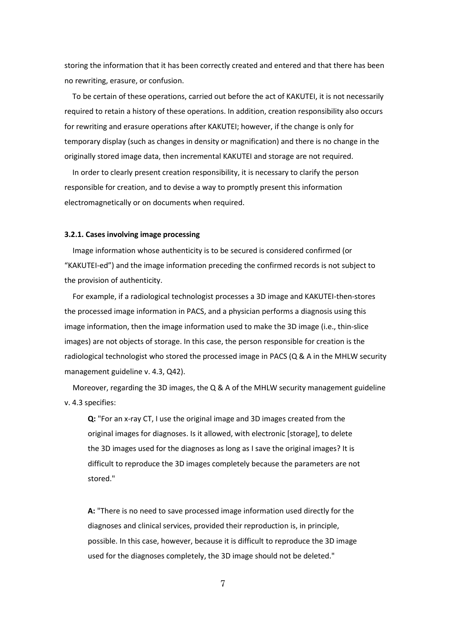storing the information that it has been correctly created and entered and that there has been no rewriting, erasure, or confusion.

To be certain of these operations, carried out before the act of KAKUTEI, it is not necessarily required to retain a history of these operations. In addition, creation responsibility also occurs for rewriting and erasure operations after KAKUTEI; however, if the change is only for temporary display (such as changes in density or magnification) and there is no change in the originally stored image data, then incremental KAKUTEI and storage are not required.

In order to clearly present creation responsibility, it is necessary to clarify the person responsible for creation, and to devise a way to promptly present this information electromagnetically or on documents when required.

#### 3.2.1. Cases involving image processing

Image information whose authenticity is to be secured is considered confirmed (or "KAKUTEI-ed") and the image information preceding the confirmed records is not subject to the provision of authenticity.

For example, if a radiological technologist processes a 3D image and KAKUTEI-then-stores the processed image information in PACS, and a physician performs a diagnosis using this image information, then the image information used to make the 3D image (i.e., thin-slice images) are not objects of storage. In this case, the person responsible for creation is the radiological technologist who stored the processed image in PACS (Q & A in the MHLW security management guideline v. 4.3, Q42).

Moreover, regarding the 3D images, the Q & A of the MHLW security management guideline v. 4.3 specifies:

Q: "For an x-ray CT, I use the original image and 3D images created from the original images for diagnoses. Is it allowed, with electronic [storage], to delete the 3D images used for the diagnoses as long as I save the original images? It is difficult to reproduce the 3D images completely because the parameters are not stored."

A: "There is no need to save processed image information used directly for the diagnoses and clinical services, provided their reproduction is, in principle, possible. In this case, however, because it is difficult to reproduce the 3D image used for the diagnoses completely, the 3D image should not be deleted."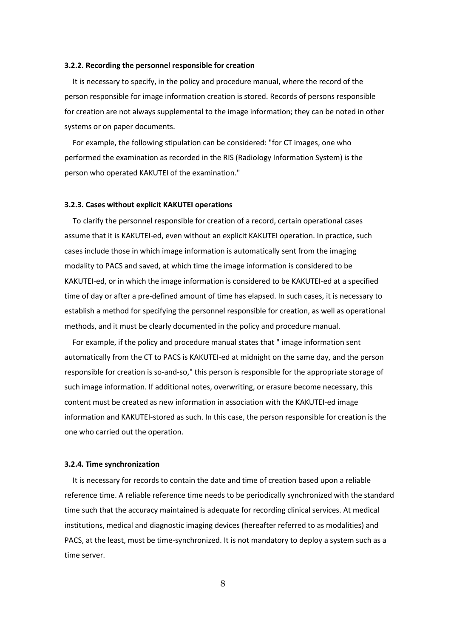# 3.2.2. Recording the personnel responsible for creation

It is necessary to specify, in the policy and procedure manual, where the record of the person responsible for image information creation is stored. Records of persons responsible for creation are not always supplemental to the image information; they can be noted in other systems or on paper documents.

For example, the following stipulation can be considered: "for CT images, one who performed the examination as recorded in the RIS (Radiology Information System) is the person who operated KAKUTEI of the examination."

### 3.2.3. Cases without explicit KAKUTEI operations

To clarify the personnel responsible for creation of a record, certain operational cases assume that it is KAKUTEI-ed, even without an explicit KAKUTEI operation. In practice, such cases include those in which image information is automatically sent from the imaging modality to PACS and saved, at which time the image information is considered to be KAKUTEI-ed, or in which the image information is considered to be KAKUTEI-ed at a specified time of day or after a pre-defined amount of time has elapsed. In such cases, it is necessary to establish a method for specifying the personnel responsible for creation, as well as operational methods, and it must be clearly documented in the policy and procedure manual.

For example, if the policy and procedure manual states that " image information sent automatically from the CT to PACS is KAKUTEI-ed at midnight on the same day, and the person responsible for creation is so-and-so," this person is responsible for the appropriate storage of such image information. If additional notes, overwriting, or erasure become necessary, this content must be created as new information in association with the KAKUTEI-ed image information and KAKUTEI-stored as such. In this case, the person responsible for creation is the one who carried out the operation.

#### 3.2.4. Time synchronization

It is necessary for records to contain the date and time of creation based upon a reliable reference time. A reliable reference time needs to be periodically synchronized with the standard time such that the accuracy maintained is adequate for recording clinical services. At medical institutions, medical and diagnostic imaging devices (hereafter referred to as modalities) and PACS, at the least, must be time-synchronized. It is not mandatory to deploy a system such as a time server.

8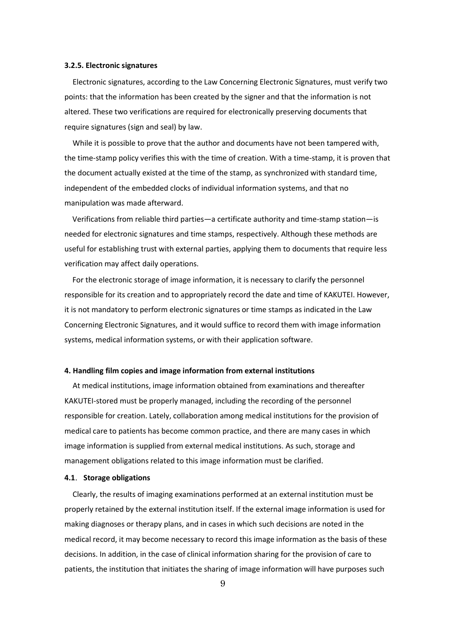# 3.2.5. Electronic signatures

Electronic signatures, according to the Law Concerning Electronic Signatures, must verify two points: that the information has been created by the signer and that the information is not altered. These two verifications are required for electronically preserving documents that require signatures (sign and seal) by law.

While it is possible to prove that the author and documents have not been tampered with, the time-stamp policy verifies this with the time of creation. With a time-stamp, it is proven that the document actually existed at the time of the stamp, as synchronized with standard time, independent of the embedded clocks of individual information systems, and that no manipulation was made afterward.

Verifications from reliable third parties—a certificate authority and time-stamp station—is needed for electronic signatures and time stamps, respectively. Although these methods are useful for establishing trust with external parties, applying them to documents that require less verification may affect daily operations.

For the electronic storage of image information, it is necessary to clarify the personnel responsible for its creation and to appropriately record the date and time of KAKUTEI. However, it is not mandatory to perform electronic signatures or time stamps as indicated in the Law Concerning Electronic Signatures, and it would suffice to record them with image information systems, medical information systems, or with their application software.

### 4. Handling film copies and image information from external institutions

At medical institutions, image information obtained from examinations and thereafter KAKUTEI-stored must be properly managed, including the recording of the personnel responsible for creation. Lately, collaboration among medical institutions for the provision of medical care to patients has become common practice, and there are many cases in which image information is supplied from external medical institutions. As such, storage and management obligations related to this image information must be clarified.

### 4.1. Storage obligations

Clearly, the results of imaging examinations performed at an external institution must be properly retained by the external institution itself. If the external image information is used for making diagnoses or therapy plans, and in cases in which such decisions are noted in the medical record, it may become necessary to record this image information as the basis of these decisions. In addition, in the case of clinical information sharing for the provision of care to patients, the institution that initiates the sharing of image information will have purposes such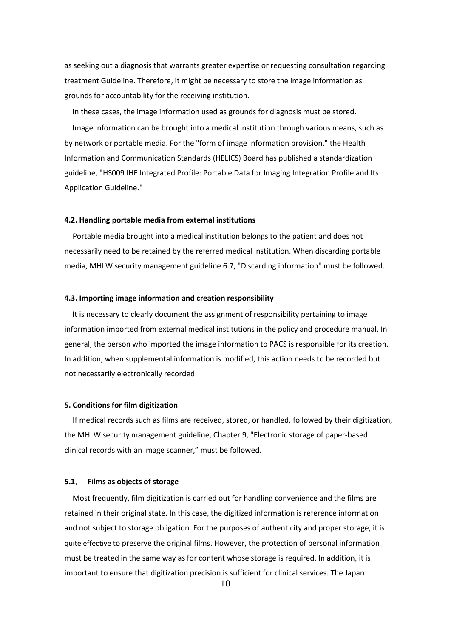as seeking out a diagnosis that warrants greater expertise or requesting consultation regarding treatment Guideline. Therefore, it might be necessary to store the image information as grounds for accountability for the receiving institution.

In these cases, the image information used as grounds for diagnosis must be stored. Image information can be brought into a medical institution through various means, such as by network or portable media. For the "form of image information provision," the Health Information and Communication Standards (HELICS) Board has published a standardization guideline, "HS009 IHE Integrated Profile: Portable Data for Imaging Integration Profile and Its Application Guideline."

### 4.2. Handling portable media from external institutions

Portable media brought into a medical institution belongs to the patient and does not necessarily need to be retained by the referred medical institution. When discarding portable media, MHLW security management guideline 6.7, "Discarding information" must be followed.

## 4.3. Importing image information and creation responsibility

It is necessary to clearly document the assignment of responsibility pertaining to image information imported from external medical institutions in the policy and procedure manual. In general, the person who imported the image information to PACS is responsible for its creation. In addition, when supplemental information is modified, this action needs to be recorded but not necessarily electronically recorded.

# 5. Conditions for film digitization

If medical records such as films are received, stored, or handled, followed by their digitization, the MHLW security management guideline, Chapter 9, "Electronic storage of paper-based clinical records with an image scanner," must be followed.

#### 5.1. Films as objects of storage

Most frequently, film digitization is carried out for handling convenience and the films are retained in their original state. In this case, the digitized information is reference information and not subject to storage obligation. For the purposes of authenticity and proper storage, it is quite effective to preserve the original films. However, the protection of personal information must be treated in the same way as for content whose storage is required. In addition, it is important to ensure that digitization precision is sufficient for clinical services. The Japan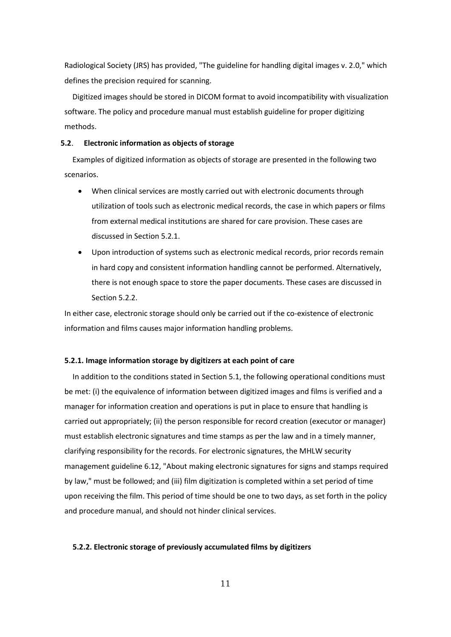Radiological Society (JRS) has provided, "The guideline for handling digital images v. 2.0," which defines the precision required for scanning.

Digitized images should be stored in DICOM format to avoid incompatibility with visualization software. The policy and procedure manual must establish guideline for proper digitizing methods.

### 5.2. Electronic information as objects of storage

Examples of digitized information as objects of storage are presented in the following two scenarios.

- When clinical services are mostly carried out with electronic documents through utilization of tools such as electronic medical records, the case in which papers or films from external medical institutions are shared for care provision. These cases are discussed in Section 5.2.1.
- Upon introduction of systems such as electronic medical records, prior records remain in hard copy and consistent information handling cannot be performed. Alternatively, there is not enough space to store the paper documents. These cases are discussed in Section 5.2.2.

In either case, electronic storage should only be carried out if the co-existence of electronic information and films causes major information handling problems.

# 5.2.1. Image information storage by digitizers at each point of care

In addition to the conditions stated in Section 5.1, the following operational conditions must be met: (i) the equivalence of information between digitized images and films is verified and a manager for information creation and operations is put in place to ensure that handling is carried out appropriately; (ii) the person responsible for record creation (executor or manager) must establish electronic signatures and time stamps as per the law and in a timely manner, clarifying responsibility for the records. For electronic signatures, the MHLW security management guideline 6.12, "About making electronic signatures for signs and stamps required by law," must be followed; and (iii) film digitization is completed within a set period of time upon receiving the film. This period of time should be one to two days, as set forth in the policy and procedure manual, and should not hinder clinical services.

# 5.2.2. Electronic storage of previously accumulated films by digitizers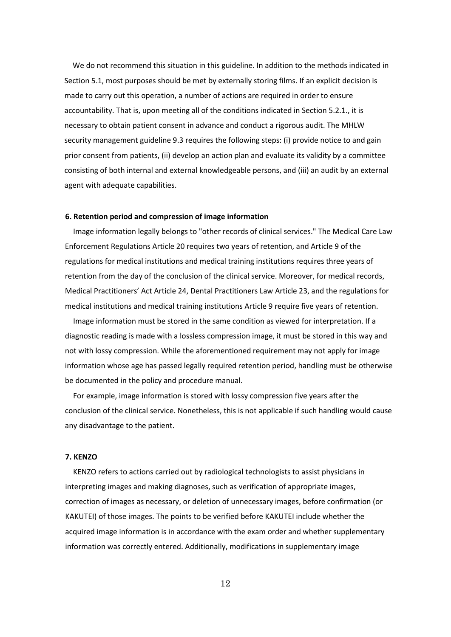We do not recommend this situation in this guideline. In addition to the methods indicated in Section 5.1, most purposes should be met by externally storing films. If an explicit decision is made to carry out this operation, a number of actions are required in order to ensure accountability. That is, upon meeting all of the conditions indicated in Section 5.2.1., it is necessary to obtain patient consent in advance and conduct a rigorous audit. The MHLW security management guideline 9.3 requires the following steps: (i) provide notice to and gain prior consent from patients, (ii) develop an action plan and evaluate its validity by a committee consisting of both internal and external knowledgeable persons, and (iii) an audit by an external agent with adequate capabilities.

# 6. Retention period and compression of image information

Image information legally belongs to "other records of clinical services." The Medical Care Law Enforcement Regulations Article 20 requires two years of retention, and Article 9 of the regulations for medical institutions and medical training institutions requires three years of retention from the day of the conclusion of the clinical service. Moreover, for medical records, Medical Practitioners' Act Article 24, Dental Practitioners Law Article 23, and the regulations for medical institutions and medical training institutions Article 9 require five years of retention.

Image information must be stored in the same condition as viewed for interpretation. If a diagnostic reading is made with a lossless compression image, it must be stored in this way and not with lossy compression. While the aforementioned requirement may not apply for image information whose age has passed legally required retention period, handling must be otherwise be documented in the policy and procedure manual.

For example, image information is stored with lossy compression five years after the conclusion of the clinical service. Nonetheless, this is not applicable if such handling would cause any disadvantage to the patient.

# 7. KENZO

KENZO refers to actions carried out by radiological technologists to assist physicians in interpreting images and making diagnoses, such as verification of appropriate images, correction of images as necessary, or deletion of unnecessary images, before confirmation (or KAKUTEI) of those images. The points to be verified before KAKUTEI include whether the acquired image information is in accordance with the exam order and whether supplementary information was correctly entered. Additionally, modifications in supplementary image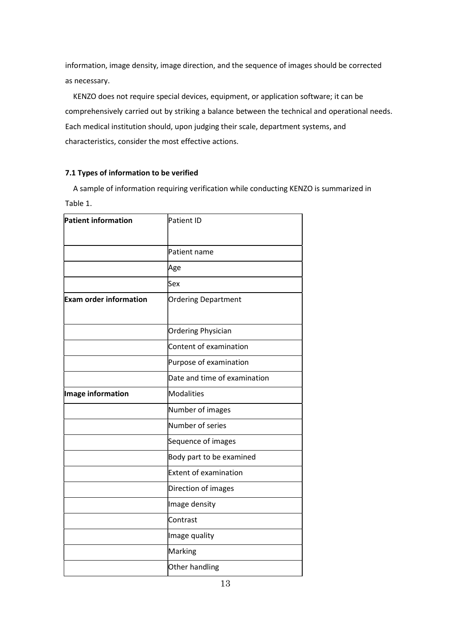information, image density, image direction, and the sequence of images should be corrected as necessary.

KENZO does not require special devices, equipment, or application software; it can be comprehensively carried out by striking a balance between the technical and operational needs. Each medical institution should, upon judging their scale, department systems, and characteristics, consider the most effective actions.

# 7.1 Types of information to be verified

A sample of information requiring verification while conducting KENZO is summarized in Table 1.

| Patient ID                   |
|------------------------------|
| Patient name                 |
| Age                          |
| lSex                         |
| Ordering Department          |
| Ordering Physician           |
| Content of examination       |
| Purpose of examination       |
| Date and time of examination |
| Modalities                   |
| Number of images             |
| Number of series             |
| Sequence of images           |
| Body part to be examined     |
| <b>Extent of examination</b> |
| Direction of images          |
| Image density                |
| Contrast                     |
| Image quality                |
| Marking                      |
| Other handling               |
|                              |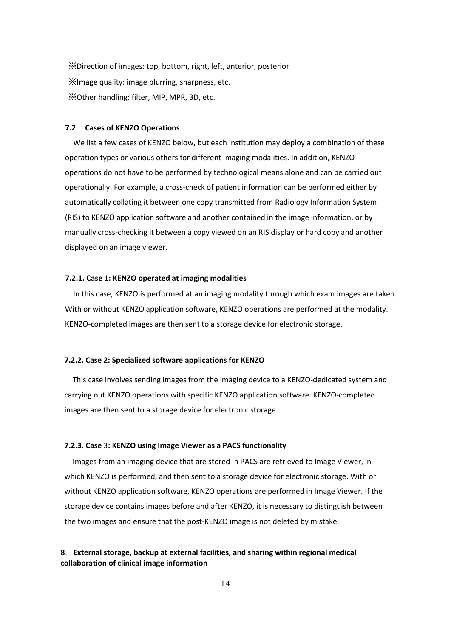※Direction of images: top, bottom, right, left, anterior, posterior ※Image quality: image blurring, sharpness, etc. ※Other handling: filter, MIP, MPR, 3D, etc.

# 7.2 Cases of KENZO Operations

We list a few cases of KENZO below, but each institution may deploy a combination of these operation types or various others for different imaging modalities. In addition, KENZO operations do not have to be performed by technological means alone and can be carried out operationally. For example, a cross-check of patient information can be performed either by automatically collating it between one copy transmitted from Radiology Information System (RIS) to KENZO application software and another contained in the image information, or by manually cross-checking it between a copy viewed on an RIS display or hard copy and another displayed on an image viewer.

### 7.2.1. Case 1: KENZO operated at imaging modalities

In this case, KENZO is performed at an imaging modality through which exam images are taken. With or without KENZO application software, KENZO operations are performed at the modality. KENZO-completed images are then sent to a storage device for electronic storage.

# 7.2.2. Case 2: Specialized software applications for KENZO

This case involves sending images from the imaging device to a KENZO-dedicated system and carrying out KENZO operations with specific KENZO application software. KENZO-completed images are then sent to a storage device for electronic storage.

### 7.2.3. Case 3: KENZO using Image Viewer as a PACS functionality

Images from an imaging device that are stored in PACS are retrieved to Image Viewer, in which KENZO is performed, and then sent to a storage device for electronic storage. With or without KENZO application software, KENZO operations are performed in Image Viewer. If the storage device contains images before and after KENZO, it is necessary to distinguish between the two images and ensure that the post-KENZO image is not deleted by mistake.

# 8.External storage, backup at external facilities, and sharing within regional medical collaboration of clinical image information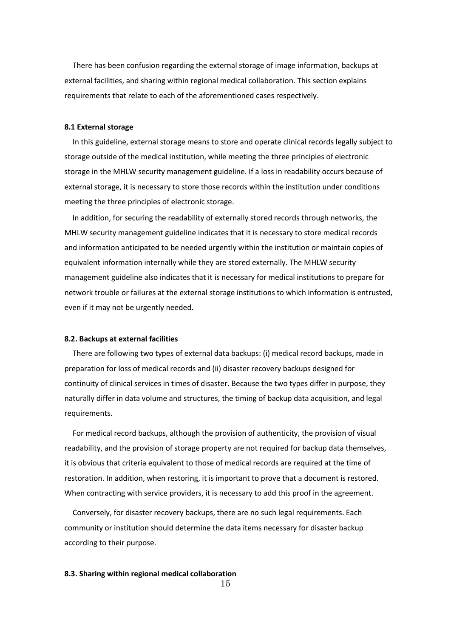There has been confusion regarding the external storage of image information, backups at external facilities, and sharing within regional medical collaboration. This section explains requirements that relate to each of the aforementioned cases respectively.

# 8.1 External storage

In this guideline, external storage means to store and operate clinical records legally subject to storage outside of the medical institution, while meeting the three principles of electronic storage in the MHLW security management guideline. If a loss in readability occurs because of external storage, it is necessary to store those records within the institution under conditions meeting the three principles of electronic storage.

In addition, for securing the readability of externally stored records through networks, the MHLW security management guideline indicates that it is necessary to store medical records and information anticipated to be needed urgently within the institution or maintain copies of equivalent information internally while they are stored externally. The MHLW security management guideline also indicates that it is necessary for medical institutions to prepare for network trouble or failures at the external storage institutions to which information is entrusted, even if it may not be urgently needed.

#### 8.2. Backups at external facilities

There are following two types of external data backups: (i) medical record backups, made in preparation for loss of medical records and (ii) disaster recovery backups designed for continuity of clinical services in times of disaster. Because the two types differ in purpose, they naturally differ in data volume and structures, the timing of backup data acquisition, and legal requirements.

For medical record backups, although the provision of authenticity, the provision of visual readability, and the provision of storage property are not required for backup data themselves, it is obvious that criteria equivalent to those of medical records are required at the time of restoration. In addition, when restoring, it is important to prove that a document is restored. When contracting with service providers, it is necessary to add this proof in the agreement.

Conversely, for disaster recovery backups, there are no such legal requirements. Each community or institution should determine the data items necessary for disaster backup according to their purpose.

# 8.3. Sharing within regional medical collaboration

15